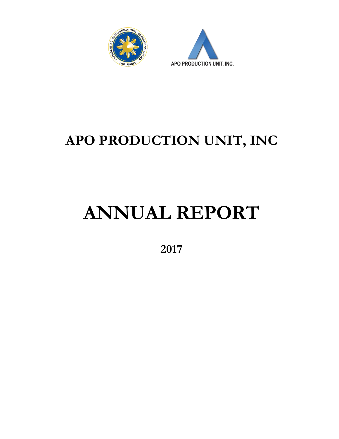



## **APO PRODUCTION UNIT, INC**

# **ANNUAL REPORT**

**2017**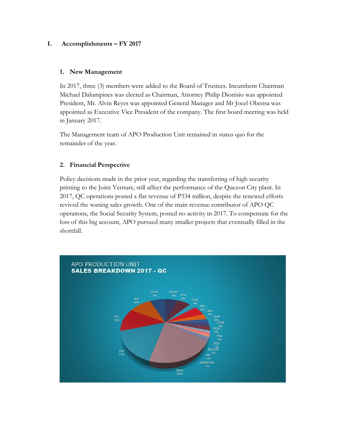#### **I. Accomplishments – FY 2017**

#### **1. New Management**

In 2017, three (3) members were added to the Board of Trustees. Incumbent Chairman Michael Dalumpines was elected as Chairman, Attorney Philip Dionisio was appointed President, Mr. Alvin Reyes was appointed General Manager and Mr Jocel Obensa was appointed as Executive Vice President of the company. The first board meeting was held in January 2017.

The Management team of APO Production Unit remained in status quo for the remainder of the year.

#### **2. Financial Perspective**

Policy decisions made in the prior year, regarding the transferring of high security printing to the Joint Venture, still affect the performance of the Quezon City plant. In 2017, QC operations posted a flat revenue of P334 million, despite the renewed efforts revived the waning sales growth. One of the main revenue contributor of APO QC operations, the Social Security System, posted no activity in 2017. To compensate for the loss of this big account, APO pursued many smaller projects that eventually filled in the shortfall.

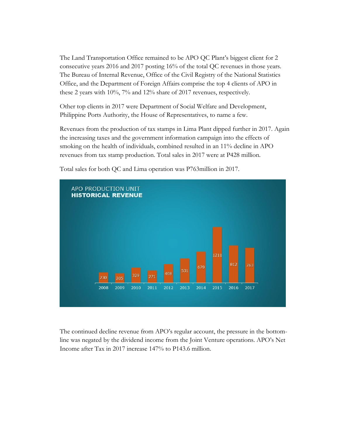The Land Transportation Office remained to be APO QC Plant's biggest client for 2 consecutive years 2016 and 2017 posting 16% of the total QC revenues in those years. The Bureau of Internal Revenue, Office of the Civil Registry of the National Statistics Office, and the Department of Foreign Affairs comprise the top 4 clients of APO in these 2 years with 10%, 7% and 12% share of 2017 revenues, respectively.

Other top clients in 2017 were Department of Social Welfare and Development, Philippine Ports Authority, the House of Representatives, to name a few.

Revenues from the production of tax stamps in Lima Plant dipped further in 2017. Again the increasing taxes and the government information campaign into the effects of smoking on the health of individuals, combined resulted in an 11% decline in APO revenues from tax stamp production. Total sales in 2017 were at P428 million.



Total sales for both QC and Lima operation was P763million in 2017.

The continued decline revenue from APO's regular account, the pressure in the bottomline was negated by the dividend income from the Joint Venture operations. APO's Net Income after Tax in 2017 increase 147% to P143.6 million.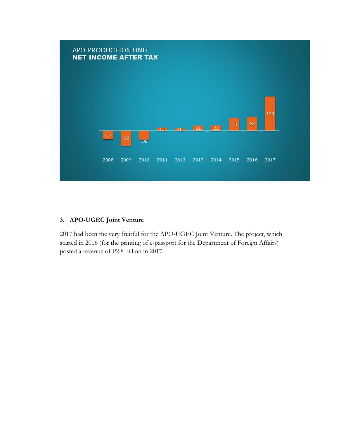

#### **3. APO-UGEC Joint Venture**

2017 had been the very fruitful for the APO-UGEC Joint Venture. The project, which started in 2016 (for the printing of e-passport for the Department of Foreign Affairs) posted a revenue of P2.8 billion in 2017.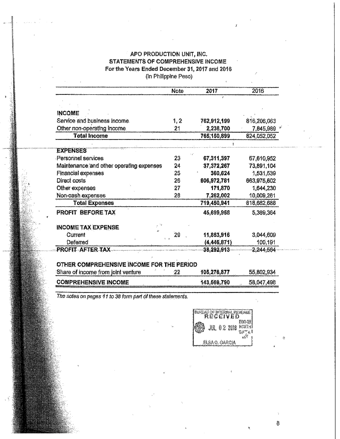#### APO PRODUCTION UNIT, INC. **STATEMENTS OF COMPREHENSIVE INCOME** For the Years Ended December 31, 2017 and 2016 (In Philippine Peso)

|                                              | <b>Note</b> | 2017          | 2016        |
|----------------------------------------------|-------------|---------------|-------------|
|                                              |             |               |             |
|                                              |             |               |             |
| <b>INCOME</b>                                |             |               |             |
| Service and business income.                 | 1, 2        | 762,912,199   | 816,206,063 |
| Other non-operating income.                  | 21          | 2,238,700     | 7,845,989   |
| <b>Total Income</b>                          |             | 765,150,899   | 824,052,052 |
|                                              |             |               |             |
| <b>EXPENSES</b><br><b>Personnel services</b> | 23          | 67,311,397    | 67,610,952  |
| Maintenance and other operating expenses     | 24          | 37, 372, 267  | 73,891,104  |
| <b>Financial expenses</b>                    | 25          | 360.624       | 1,531,539   |
| <b>Direct costs</b>                          | 26          | 606,972,781   | 663,975,602 |
| Other expenses                               | 27          | 171,870       | 1,644,230   |
| Non-cash expenses                            | 28          | 7,262,002     | 10,009,261  |
| <b>Total Expenses</b>                        |             | 719,450,941   | 818,662,688 |
|                                              |             |               |             |
| <b>PROFIT BEFORE TAX</b>                     |             | 45,699,968    | 5,389,364   |
| <b>INCOME TAX EXPENSE</b>                    |             |               |             |
| Current                                      | 29          | 11,853,916    | 3,044,609   |
| Deferred                                     |             | (4, 446, 871) | 100,191     |
| PROFIT AFTER TAX                             |             | 38,292,913    | 2,244,564   |
|                                              |             |               |             |
| OTHER COMPREHENSIVE INCOME FOR THE PERIOD    |             |               |             |
| Share of income from joint venture           | 22          | 105,276,877   | 55,802,934  |
| <b>COMPREHENSIVE INCOME</b>                  |             | 143,569,790   | 58,047,498  |

The notes on pages 11 to 38 form part of these statements.

|  | <b>RUREAU OF INTERNAL REVENUE</b> |                   |
|--|-----------------------------------|-------------------|
|  | <b>JUL 0.2 2018 NORTH!</b>        | 1090-08<br>$0$ if |
|  | ELSA O. GARCIA                    |                   |

 $\overline{6}$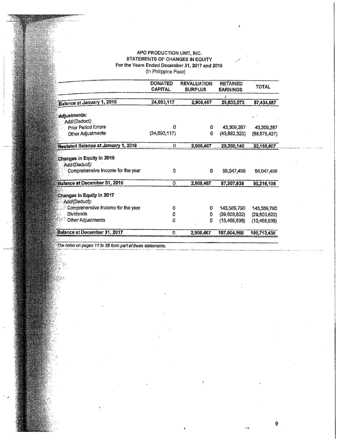### AFO FRODUCTION UNIT, INC.<br>STATEMENTS OF CHANGES IN EQUITY For the Years Ended December 31, 2017 and 2016<br>(In Philippine Peso)

|                                                                                 | <b>DONATED</b><br><b>CAPITAL</b> | <b>REVALUATION</b><br><b>SURPLUS</b> | <b>RETAINED</b><br><b>EARNINGS</b> | <b>TOTAL</b>   |
|---------------------------------------------------------------------------------|----------------------------------|--------------------------------------|------------------------------------|----------------|
|                                                                                 |                                  |                                      |                                    |                |
| Balance at January 1, 2016                                                      | 24,693,117                       | 2.908,467                            | 29,833,073                         | 57,434,657     |
|                                                                                 |                                  |                                      |                                    |                |
| Adjustments;<br>Add/(Deduct):                                                   |                                  |                                      |                                    |                |
| Prior Period Errors                                                             | n                                | o                                    | 43,309,387                         | 43,309,387     |
| Other Adjustments                                                               | (24,693,117)                     | $\Omega$                             | (43, 882, 320)                     | (68, 575, 437) |
| Restated Balance at January 1, 2016                                             | Ð.                               |                                      | 2,908,467 29,260,140               | 32,168,607     |
| Changes in Equity in 2016<br>Add/(Deduct):<br>Comprehensive Income for the year | 0                                | Ð                                    | 58,047,498                         | 58,047,498     |
| <b>Balance at December 31, 2016</b>                                             | 0.                               | 2,908,467                            | 87,307,638                         | 90,216,105     |
| Changes in Equity in 2017<br>Add/(Deduct):                                      |                                  |                                      |                                    |                |
| Comprehensive Income for the year                                               | Ð                                | O                                    | 143,569,790                        | 143,569,790    |
| Dividends                                                                       | o                                | 0                                    | (29, 603, 822)                     | (29,603,822)   |
| Other Adjustments                                                               | $\overline{\mathbf{0}}$          | 0                                    | (13,468,638)                       | (13,468,638)   |
| Balance at December 31, 2017                                                    | 0                                | 2,908,467                            | 187,804,968                        | 190,713,435    |

The notes on pages 11 to 38 form part of these statements.